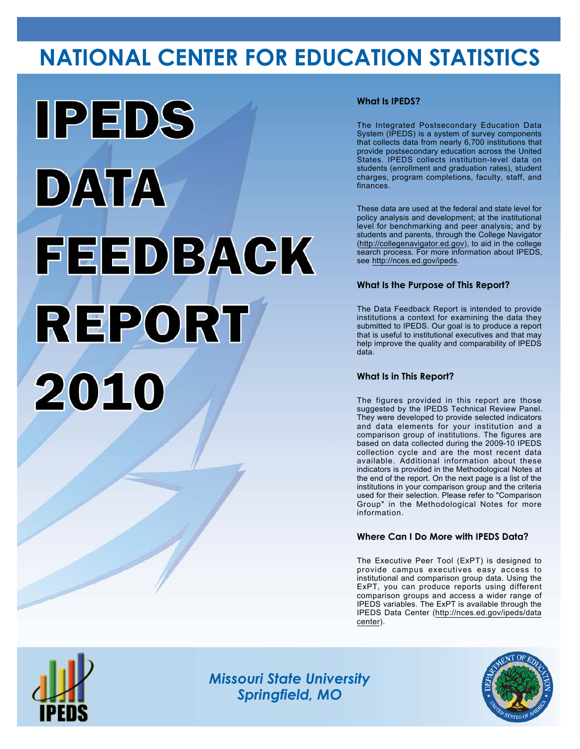# **NATIONAL CENTER FOR EDUCATION STATISTICS**



## **What Is IPEDS?**

The Integrated Postsecondary Education Data System (IPEDS) is a system of survey components that collects data from nearly 6,700 institutions that provide postsecondary education across the United States. IPEDS collects institution-level data on students (enrollment and graduation rates), student charges, program completions, faculty, staff, and finances.

These data are used at the federal and state level for policy analysis and development; at the institutional level for benchmarking and peer analysis; and by students and parents, through the College Navigator (<http://collegenavigator.ed.gov>), to aid in the college search process. For more information about IPEDS, see [http://nces.ed.gov/ipeds.](http://nces.ed.gov/ipeds)

## **What Is the Purpose of This Report?**

The Data Feedback Report is intended to provide institutions a context for examining the data they submitted to IPEDS. Our goal is to produce a report that is useful to institutional executives and that may help improve the quality and comparability of IPEDS data.

### **What Is in This Report?**

The figures provided in this report are those suggested by the IPEDS Technical Review Panel. They were developed to provide selected indicators and data elements for your institution and a comparison group of institutions. The figures are based on data collected during the 2009-10 IPEDS collection cycle and are the most recent data available. Additional information about these indicators is provided in the Methodological Notes at the end of the report. On the next page is a list of the institutions in your comparison group and the criteria used for their selection. Please refer to "Comparison Group" in the Methodological Notes for more information.

### **Where Can I Do More with IPEDS Data?**

The Executive Peer Tool (ExPT) is designed to provide campus executives easy access to institutional and comparison group data. Using the ExPT, you can produce reports using different comparison groups and access a wider range of IPEDS variables. The ExPT is available through the IPEDS Data Center ([http://nces.ed.gov/ipeds/data](http://nces.ed.gov/ipeds/datacenter) [center](http://nces.ed.gov/ipeds/datacenter)).



Image description. Cover Image End of image description.

*Missouri State University Springfield, MO*

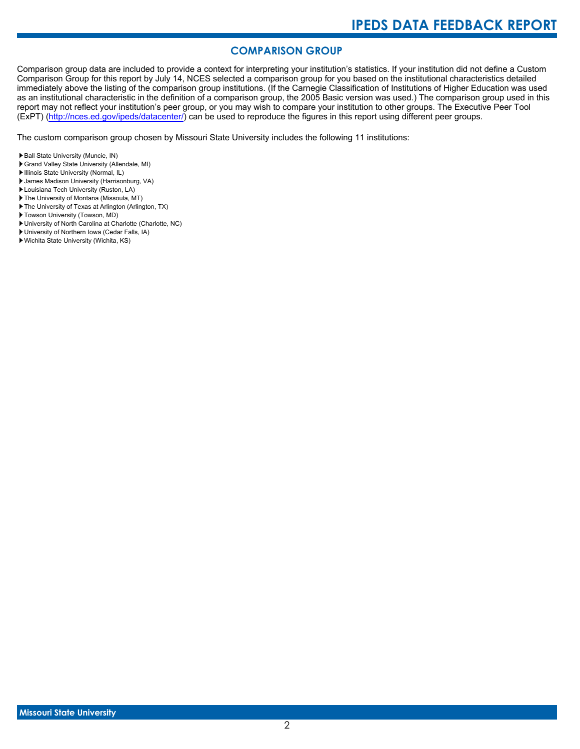# **COMPARISON GROUP**

Comparison group data are included to provide a context for interpreting your institution's statistics. If your institution did not define a Custom Comparison Group for this report by July 14, NCES selected a comparison group for you based on the institutional characteristics detailed immediately above the listing of the comparison group institutions. (If the Carnegie Classification of Institutions of Higher Education was used as an institutional characteristic in the definition of a comparison group, the 2005 Basic version was used.) The comparison group used in this report may not reflect your institution's peer group, or you may wish to compare your institution to other groups. The Executive Peer Tool (ExPT) [\(http://nces.ed.gov/ipeds/datacenter/\)](http://nces.ed.gov/ipeds/datacenter/) can be used to reproduce the figures in this report using different peer groups.

The custom comparison group chosen by Missouri State University includes the following 11 institutions:

- Ball State University (Muncie, IN)
- Grand Valley State University (Allendale, MI)
- Illinois State University (Normal, IL) James Madison University (Harrisonburg, VA)
- Louisiana Tech University (Ruston, LA)
- The University of Montana (Missoula, MT)
- The University of Texas at Arlington (Arlington, TX)
- Towson University (Towson, MD)
- University of North Carolina at Charlotte (Charlotte, NC)
- University of Northern Iowa (Cedar Falls, IA)
- Wichita State University (Wichita, KS)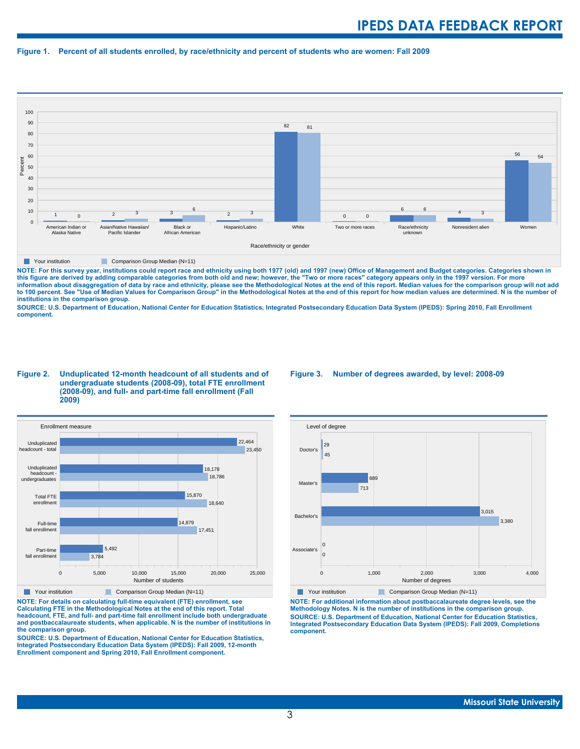#### **Figure 1. Percent of all students enrolled, by race/ethnicity and percent of students who are women: Fall 2009**



**The Comparison Group Median (N=11)** Comparison Group Median (N=11)

NOTE: For this survey year, institutions could report race and ethnicity using both 1977 (old) and 1997 (new) Office of Management and Budget categories. Categories shown in<br>this figure are derived by adding comparable cat **information about disaggregation of data by race and ethnicity, please see the Methodological Notes at the end of this report. Median values for the comparison group will not add to 100 percent. See "Use of Median Values for Comparison Group" in the Methodological Notes at the end of this report for how median values are determined. N is the number of institutions in the comparison group.**

**SOURCE: U.S. Department of Education, National Center for Education Statistics, Integrated Postsecondary Education Data System (IPEDS): Spring 2010, Fall Enrollment component.**

#### **Figure 2. Unduplicated 12-month headcount of all students and of undergraduate students (2008-09), total FTE enrollment (2008-09), and full- and part-time fall enrollment (Fall 2009)**



**Your institution** Comparison Group Median (N=11)

**NOTE: For details on calculating full-time equivalent (FTE) enrollment, see Calculating FTE in the Methodological Notes at the end of this report. Total headcount, FTE, and full- and part-time fall enrollment include both undergraduate and postbaccalaureate students, when applicable. N is the number of institutions in the comparison group.**

**SOURCE: U.S. Department of Education, National Center for Education Statistics, Integrated Postsecondary Education Data System (IPEDS): Fall 2009, 12-month Enrollment component and Spring 2010, Fall Enrollment component.**

#### **Figure 3. Number of degrees awarded, by level: 2008-09**



**NOTE: For additional information about postbaccalaureate degree levels, see the Methodology Notes. N is the number of institutions in the comparison group. SOURCE: U.S. Department of Education, National Center for Education Statistics, Integrated Postsecondary Education Data System (IPEDS): Fall 2009, Completions component.**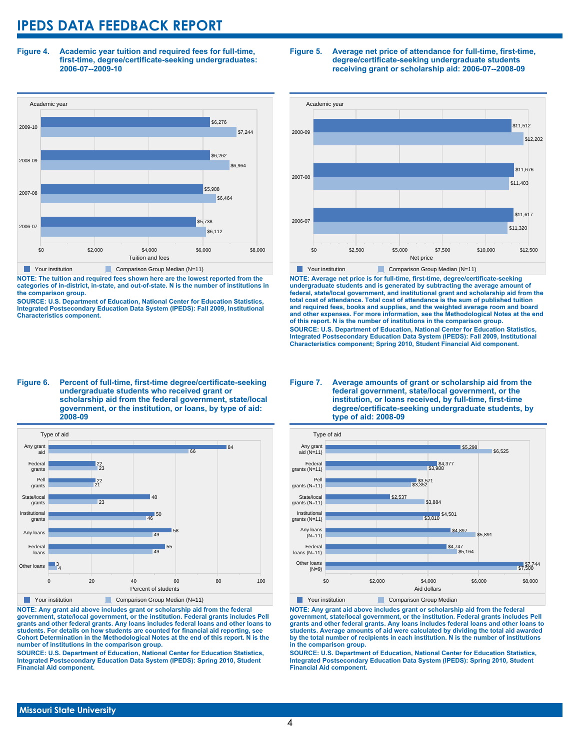**Figure 4. Academic year tuition and required fees for full-time, first-time, degree/certificate-seeking undergraduates: 2006-07--2009-10**



**NOTE: The tuition and required fees shown here are the lowest reported from the categories of in-district, in-state, and out-of-state. N is the number of institutions in the comparison group.**

**SOURCE: U.S. Department of Education, National Center for Education Statistics, Integrated Postsecondary Education Data System (IPEDS): Fall 2009, Institutional Characteristics component.**

#### **Figure 5. Average net price of attendance for full-time, first-time, degree/certificate-seeking undergraduate students receiving grant or scholarship aid: 2006-07--2008-09**



**NOTE: Average net price is for full-time, first-time, degree/certificate-seeking undergraduate students and is generated by subtracting the average amount of federal, state/local government, and institutional grant and scholarship aid from the total cost of attendance. Total cost of attendance is the sum of published tuition and required fees, books and supplies, and the weighted average room and board and other expenses. For more information, see the Methodological Notes at the end of this report. N is the number of institutions in the comparison group. SOURCE: U.S. Department of Education, National Center for Education Statistics, Integrated Postsecondary Education Data System (IPEDS): Fall 2009, Institutional Characteristics component; Spring 2010, Student Financial Aid component.**

#### **Figure 6. Percent of full-time, first-time degree/certificate-seeking undergraduate students who received grant or scholarship aid from the federal government, state/local government, or the institution, or loans, by type of aid: 2008-09**



**NOTE: Any grant aid above includes grant or scholarship aid from the federal government, state/local government, or the institution. Federal grants includes Pell grants and other federal grants. Any loans includes federal loans and other loans to students. For details on how students are counted for financial aid reporting, see Cohort Determination in the Methodological Notes at the end of this report. N is the number of institutions in the comparison group.**

**SOURCE: U.S. Department of Education, National Center for Education Statistics, Integrated Postsecondary Education Data System (IPEDS): Spring 2010, Student Financial Aid component.**

#### **Figure 7. Average amounts of grant or scholarship aid from the federal government, state/local government, or the institution, or loans received, by full-time, first-time degree/certificate-seeking undergraduate students, by type of aid: 2008-09**



**NOTE: Any grant aid above includes grant or scholarship aid from the federal government, state/local government, or the institution. Federal grants includes Pell grants and other federal grants. Any loans includes federal loans and other loans to students. Average amounts of aid were calculated by dividing the total aid awarded by the total number of recipients in each institution. N is the number of institutions in the comparison group.**

**SOURCE: U.S. Department of Education, National Center for Education Statistics, Integrated Postsecondary Education Data System (IPEDS): Spring 2010, Student Financial Aid component.**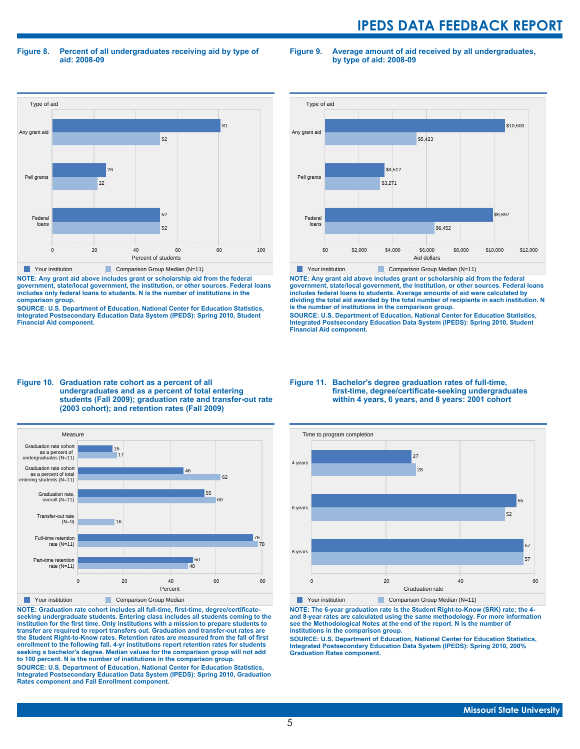**Figure 8. Percent of all undergraduates receiving aid by type of aid: 2008-09**

**Figure 9. Average amount of aid received by all undergraduates, by type of aid: 2008-09**



**NOTE: Any grant aid above includes grant or scholarship aid from the federal government, state/local government, the institution, or other sources. Federal loans includes only federal loans to students. N is the number of institutions in the comparison group.**

**SOURCE: U.S. Department of Education, National Center for Education Statistics, Integrated Postsecondary Education Data System (IPEDS): Spring 2010, Student Financial Aid component.**



**NOTE: Any grant aid above includes grant or scholarship aid from the federal government, state/local government, the institution, or other sources. Federal loans includes federal loans to students. Average amounts of aid were calculated by dividing the total aid awarded by the total number of recipients in each institution. N is the number of institutions in the comparison group.**

**SOURCE: U.S. Department of Education, National Center for Education Statistics, Integrated Postsecondary Education Data System (IPEDS): Spring 2010, Student Financial Aid component.**





**NOTE: Graduation rate cohort includes all full-time, first-time, degree/certificateseeking undergraduate students. Entering class includes all students coming to the institution for the first time. Only institutions with a mission to prepare students to transfer are required to report transfers out. Graduation and transfer-out rates are the Student Right-to-Know rates. Retention rates are measured from the fall of first enrollment to the following fall. 4-yr institutions report retention rates for students seeking a bachelor's degree. Median values for the comparison group will not add to 100 percent. N is the number of institutions in the comparison group.**

**SOURCE: U.S. Department of Education, National Center for Education Statistics, Integrated Postsecondary Education Data System (IPEDS): Spring 2010, Graduation Rates component and Fall Enrollment component.**

#### **Figure 11. Bachelor's degree graduation rates of full-time, first-time, degree/certificate-seeking undergraduates within 4 years, 6 years, and 8 years: 2001 cohort**



**NOTE: The 6-year graduation rate is the Student Right-to-Know (SRK) rate; the 4 and 8-year rates are calculated using the same methodology. For more information see the Methodological Notes at the end of the report. N is the number of institutions in the comparison group.**

**SOURCE: U.S. Department of Education, National Center for Education Statistics, Integrated Postsecondary Education Data System (IPEDS): Spring 2010, 200% Graduation Rates component.**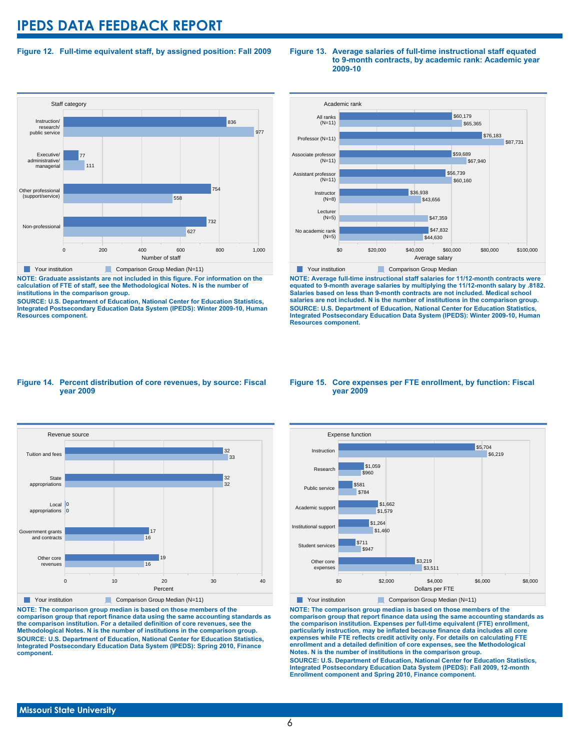### **Figure 12. Full-time equivalent staff, by assigned position: Fall 2009**



**NOTE: Graduate assistants are not included in this figure. For information on the calculation of FTE of staff, see the Methodological Notes. N is the number of institutions in the comparison group.**

**SOURCE: U.S. Department of Education, National Center for Education Statistics, Integrated Postsecondary Education Data System (IPEDS): Winter 2009-10, Human Resources component.**

#### **Figure 13. Average salaries of full-time instructional staff equated to 9-month contracts, by academic rank: Academic year 2009-10**



**NOTE: Average full-time instructional staff salaries for 11/12-month contracts were equated to 9-month average salaries by multiplying the 11/12-month salary by .8182. Salaries based on less than 9-month contracts are not included. Medical school salaries are not included. N is the number of institutions in the comparison group. SOURCE: U.S. Department of Education, National Center for Education Statistics, Integrated Postsecondary Education Data System (IPEDS): Winter 2009-10, Human Resources component.**

#### **Figure 14. Percent distribution of core revenues, by source: Fiscal year 2009**



**NOTE: The comparison group median is based on those members of the comparison group that report finance data using the same accounting standards as the comparison institution. For a detailed definition of core revenues, see the Methodological Notes. N is the number of institutions in the comparison group. SOURCE: U.S. Department of Education, National Center for Education Statistics, Integrated Postsecondary Education Data System (IPEDS): Spring 2010, Finance component.**

#### **Figure 15. Core expenses per FTE enrollment, by function: Fiscal year 2009**



**NOTE: The comparison group median is based on those members of the comparison group that report finance data using the same accounting standards as the comparison institution. Expenses per full-time equivalent (FTE) enrollment, particularly instruction, may be inflated because finance data includes all core expenses while FTE reflects credit activity only. For details on calculating FTE enrollment and a detailed definition of core expenses, see the Methodological Notes. N is the number of institutions in the comparison group. SOURCE: U.S. Department of Education, National Center for Education Statistics, Integrated Postsecondary Education Data System (IPEDS): Fall 2009, 12-month Enrollment component and Spring 2010, Finance component.**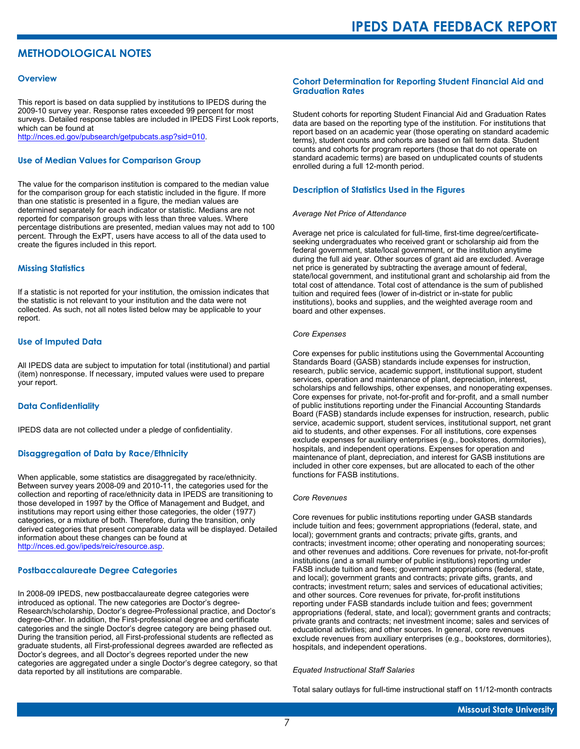# **METHODOLOGICAL NOTES**

#### **Overview**

This report is based on data supplied by institutions to IPEDS during the 2009-10 survey year. Response rates exceeded 99 percent for most surveys. Detailed response tables are included in IPEDS First Look reports, which can be found at [http://nces.ed.gov/pubsearch/getpubcats.asp?sid=010.](http://nces.ed.gov/pubsearch/getpubcats.asp?sid=010)

#### **Use of Median Values for Comparison Group**

The value for the comparison institution is compared to the median value for the comparison group for each statistic included in the figure. If more than one statistic is presented in a figure, the median values are determined separately for each indicator or statistic. Medians are not reported for comparison groups with less than three values. Where percentage distributions are presented, median values may not add to 100 percent. Through the ExPT, users have access to all of the data used to create the figures included in this report.

#### **Missing Statistics**

If a statistic is not reported for your institution, the omission indicates that the statistic is not relevant to your institution and the data were not collected. As such, not all notes listed below may be applicable to your report.

#### **Use of Imputed Data**

All IPEDS data are subject to imputation for total (institutional) and partial (item) nonresponse. If necessary, imputed values were used to prepare your report.

#### **Data Confidentiality**

IPEDS data are not collected under a pledge of confidentiality.

#### **Disaggregation of Data by Race/Ethnicity**

When applicable, some statistics are disaggregated by race/ethnicity. Between survey years 2008-09 and 2010-11, the categories used for the collection and reporting of race/ethnicity data in IPEDS are transitioning to those developed in 1997 by the Office of Management and Budget, and institutions may report using either those categories, the older (1977) categories, or a mixture of both. Therefore, during the transition, only derived categories that present comparable data will be displayed. Detailed information about these changes can be found at <http://nces.ed.gov/ipeds/reic/resource.asp>.

#### **Postbaccalaureate Degree Categories**

In 2008-09 IPEDS, new postbaccalaureate degree categories were introduced as optional. The new categories are Doctor's degree-Research/scholarship, Doctor's degree-Professional practice, and Doctor's degree-Other. In addition, the First-professional degree and certificate categories and the single Doctor's degree category are being phased out. During the transition period, all First-professional students are reflected as graduate students, all First-professional degrees awarded are reflected as Doctor's degrees, and all Doctor's degrees reported under the new categories are aggregated under a single Doctor's degree category, so that data reported by all institutions are comparable.

#### **Cohort Determination for Reporting Student Financial Aid and Graduation Rates**

Student cohorts for reporting Student Financial Aid and Graduation Rates data are based on the reporting type of the institution. For institutions that report based on an academic year (those operating on standard academic terms), student counts and cohorts are based on fall term data. Student counts and cohorts for program reporters (those that do not operate on standard academic terms) are based on unduplicated counts of students enrolled during a full 12-month period.

#### **Description of Statistics Used in the Figures**

#### *Average Net Price of Attendance*

Average net price is calculated for full-time, first-time degree/certificateseeking undergraduates who received grant or scholarship aid from the federal government, state/local government, or the institution anytime during the full aid year. Other sources of grant aid are excluded. Average net price is generated by subtracting the average amount of federal, state/local government, and institutional grant and scholarship aid from the total cost of attendance. Total cost of attendance is the sum of published tuition and required fees (lower of in-district or in-state for public institutions), books and supplies, and the weighted average room and board and other expenses.

#### *Core Expenses*

Core expenses for public institutions using the Governmental Accounting Standards Board (GASB) standards include expenses for instruction, research, public service, academic support, institutional support, student services, operation and maintenance of plant, depreciation, interest, scholarships and fellowships, other expenses, and nonoperating expenses. Core expenses for private, not-for-profit and for-profit, and a small number of public institutions reporting under the Financial Accounting Standards Board (FASB) standards include expenses for instruction, research, public service, academic support, student services, institutional support, net grant aid to students, and other expenses. For all institutions, core expenses exclude expenses for auxiliary enterprises (e.g., bookstores, dormitories), hospitals, and independent operations. Expenses for operation and maintenance of plant, depreciation, and interest for GASB institutions are included in other core expenses, but are allocated to each of the other functions for FASB institutions.

#### *Core Revenues*

Core revenues for public institutions reporting under GASB standards include tuition and fees; government appropriations (federal, state, and local); government grants and contracts; private gifts, grants, and contracts; investment income; other operating and nonoperating sources; and other revenues and additions. Core revenues for private, not-for-profit institutions (and a small number of public institutions) reporting under FASB include tuition and fees; government appropriations (federal, state, and local); government grants and contracts; private gifts, grants, and contracts; investment return; sales and services of educational activities; and other sources. Core revenues for private, for-profit institutions reporting under FASB standards include tuition and fees; government appropriations (federal, state, and local); government grants and contracts; private grants and contracts; net investment income; sales and services of educational activities; and other sources. In general, core revenues exclude revenues from auxiliary enterprises (e.g., bookstores, dormitories), hospitals, and independent operations.

#### *Equated Instructional Staff Salaries*

Total salary outlays for full-time instructional staff on 11/12-month contracts